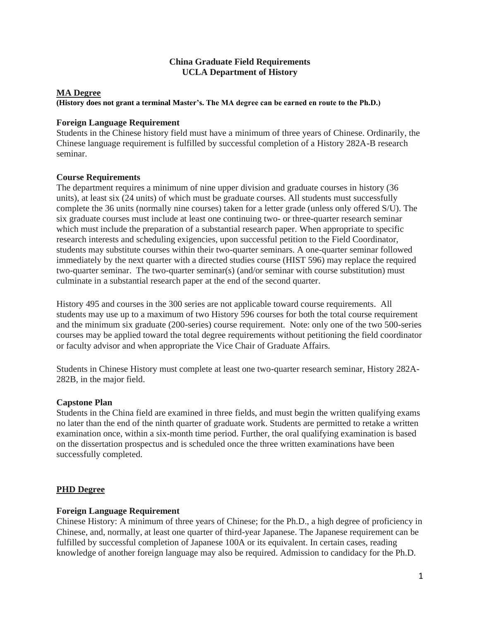### **China Graduate Field Requirements UCLA Department of History**

### **MA Degree**

#### **(History does not grant a terminal Master's. The MA degree can be earned en route to the Ph.D.)**

#### **Foreign Language Requirement**

Students in the Chinese history field must have a minimum of three years of Chinese. Ordinarily, the Chinese language requirement is fulfilled by successful completion of a History 282A-B research seminar.

### **Course Requirements**

The department requires a minimum of nine upper division and graduate courses in history (36 units), at least six (24 units) of which must be graduate courses. All students must successfully complete the 36 units (normally nine courses) taken for a letter grade (unless only offered S/U). The six graduate courses must include at least one continuing two- or three-quarter research seminar which must include the preparation of a substantial research paper. When appropriate to specific research interests and scheduling exigencies, upon successful petition to the Field Coordinator, students may substitute courses within their two-quarter seminars. A one-quarter seminar followed immediately by the next quarter with a directed studies course (HIST 596) may replace the required two-quarter seminar. The two-quarter seminar(s) (and/or seminar with course substitution) must culminate in a substantial research paper at the end of the second quarter.

History 495 and courses in the 300 series are not applicable toward course requirements. All students may use up to a maximum of two History 596 courses for both the total course requirement and the minimum six graduate (200-series) course requirement. Note: only one of the two 500-series courses may be applied toward the total degree requirements without petitioning the field coordinator or faculty advisor and when appropriate the Vice Chair of Graduate Affairs.

Students in Chinese History must complete at least one two-quarter research seminar, History 282A-282B, in the major field.

#### **Capstone Plan**

Students in the China field are examined in three fields, and must begin the written qualifying exams no later than the end of the ninth quarter of graduate work. Students are permitted to retake a written examination once, within a six-month time period. Further, the oral qualifying examination is based on the dissertation prospectus and is scheduled once the three written examinations have been successfully completed.

# **PHD Degree**

#### **Foreign Language Requirement**

Chinese History: A minimum of three years of Chinese; for the Ph.D., a high degree of proficiency in Chinese, and, normally, at least one quarter of third-year Japanese. The Japanese requirement can be fulfilled by successful completion of Japanese 100A or its equivalent. In certain cases, reading knowledge of another foreign language may also be required. Admission to candidacy for the Ph.D.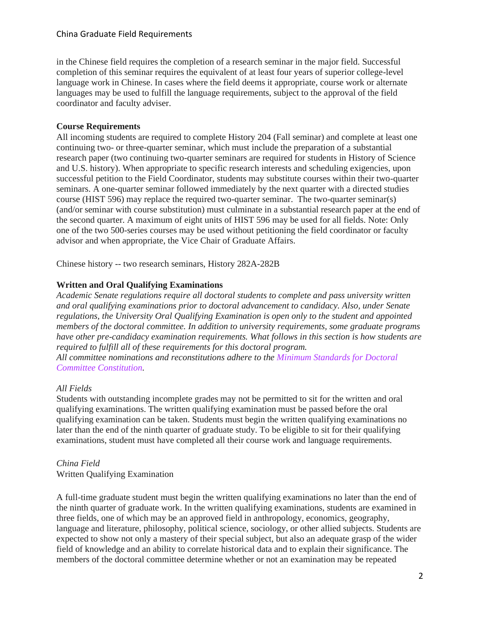### China Graduate Field Requirements

in the Chinese field requires the completion of a research seminar in the major field. Successful completion of this seminar requires the equivalent of at least four years of superior college-level language work in Chinese. In cases where the field deems it appropriate, course work or alternate languages may be used to fulfill the language requirements, subject to the approval of the field coordinator and faculty adviser.

### **Course Requirements**

All incoming students are required to complete History 204 (Fall seminar) and complete at least one continuing two- or three-quarter seminar, which must include the preparation of a substantial research paper (two continuing two-quarter seminars are required for students in History of Science and U.S. history). When appropriate to specific research interests and scheduling exigencies, upon successful petition to the Field Coordinator, students may substitute courses within their two-quarter seminars. A one-quarter seminar followed immediately by the next quarter with a directed studies course (HIST 596) may replace the required two-quarter seminar. The two-quarter seminar(s) (and/or seminar with course substitution) must culminate in a substantial research paper at the end of the second quarter. A maximum of eight units of HIST 596 may be used for all fields. Note: Only one of the two 500-series courses may be used without petitioning the field coordinator or faculty advisor and when appropriate, the Vice Chair of Graduate Affairs.

Chinese history -- two research seminars, History 282A-282B

# **Written and Oral Qualifying Examinations**

*Academic Senate regulations require all doctoral students to complete and pass university written and oral qualifying examinations prior to doctoral advancement to candidacy. Also, under Senate regulations, the University Oral Qualifying Examination is open only to the student and appointed members of the doctoral committee. In addition to university requirements, some graduate programs have other pre-candidacy examination requirements. What follows in this section is how students are required to fulfill all of these requirements for this doctoral program.*

*All committee nominations and reconstitutions adhere to the Minimum [Standards](https://grad.ucla.edu/academics/doctoral-studies/minimum-standards-for-doctoral-committee-constitution-effective-2016-fall/) for Doctoral Committee [Constitution.](https://grad.ucla.edu/academics/doctoral-studies/minimum-standards-for-doctoral-committee-constitution-effective-2016-fall/)*

# *All Fields*

Students with outstanding incomplete grades may not be permitted to sit for the written and oral qualifying examinations. The written qualifying examination must be passed before the oral qualifying examination can be taken. Students must begin the written qualifying examinations no later than the end of the ninth quarter of graduate study. To be eligible to sit for their qualifying examinations, student must have completed all their course work and language requirements.

# *China Field* Written Qualifying Examination

A full-time graduate student must begin the written qualifying examinations no later than the end of the ninth quarter of graduate work. In the written qualifying examinations, students are examined in three fields, one of which may be an approved field in anthropology, economics, geography, language and literature, philosophy, political science, sociology, or other allied subjects. Students are expected to show not only a mastery of their special subject, but also an adequate grasp of the wider field of knowledge and an ability to correlate historical data and to explain their significance. The members of the doctoral committee determine whether or not an examination may be repeated